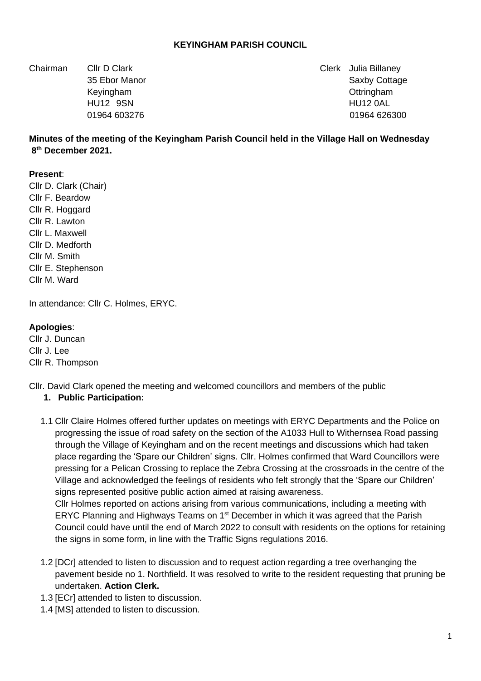### **KEYINGHAM PARISH COUNCIL**

Chairman Cllr D Clark Clerk Julia Billaney

35 Ebor Manor Saxby Cottage 35 Ebor Manor Saxby Cottage 35 Ebor Manor Saxby Cottage Keyingham **Ottringham Contract Contract Contract Contract Contract Contract Contract Contract Contract Contract Contract Contract Contract Contract Contract Contract Contract Contract Contract Contract Contract Contract** HU12 9SN HU12 0AL 01964 603276 01964 626300

**Minutes of the meeting of the Keyingham Parish Council held in the Village Hall on Wednesday 8th December 2021.** 

#### **Present**:

Cllr D. Clark (Chair) Cllr F. Beardow Cllr R. Hoggard Cllr R. Lawton Cllr L. Maxwell Cllr D. Medforth Cllr M. Smith Cllr E. Stephenson Cllr M. Ward

In attendance: Cllr C. Holmes, ERYC.

#### **Apologies**:

Cllr J. Duncan Cllr J. Lee Cllr R. Thompson

Cllr. David Clark opened the meeting and welcomed councillors and members of the public **1. Public Participation:**

1.1 Cllr Claire Holmes offered further updates on meetings with ERYC Departments and the Police on progressing the issue of road safety on the section of the A1033 Hull to Withernsea Road passing through the Village of Keyingham and on the recent meetings and discussions which had taken place regarding the 'Spare our Children' signs. Cllr. Holmes confirmed that Ward Councillors were pressing for a Pelican Crossing to replace the Zebra Crossing at the crossroads in the centre of the Village and acknowledged the feelings of residents who felt strongly that the 'Spare our Children' signs represented positive public action aimed at raising awareness. Cllr Holmes reported on actions arising from various communications, including a meeting with

ERYC Planning and Highways Teams on 1<sup>st</sup> December in which it was agreed that the Parish Council could have until the end of March 2022 to consult with residents on the options for retaining the signs in some form, in line with the Traffic Signs regulations 2016.

- 1.2 [DCr] attended to listen to discussion and to request action regarding a tree overhanging the pavement beside no 1. Northfield. It was resolved to write to the resident requesting that pruning be undertaken. **Action Clerk.**
- 1.3 [ECr] attended to listen to discussion.
- 1.4 [MS] attended to listen to discussion.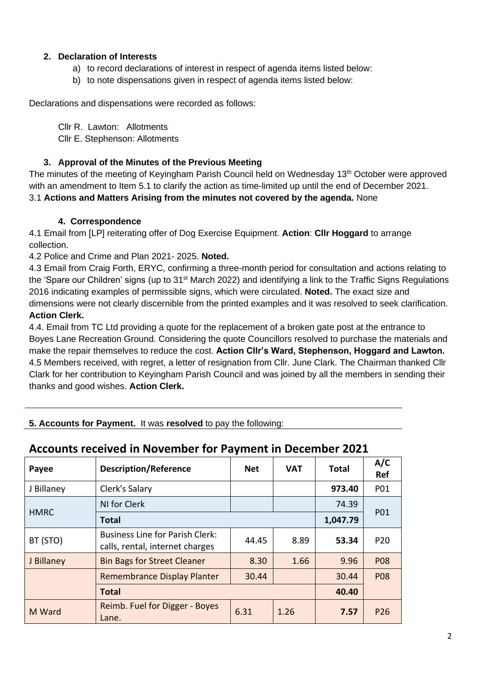### **2. Declaration of Interests**

- a) to record declarations of interest in respect of agenda items listed below:
- b) to note dispensations given in respect of agenda items listed below:

Declarations and dispensations were recorded as follows:

Cllr R. Lawton: Allotments

Cllr E. Stephenson: Allotments

### **3. Approval of the Minutes of the Previous Meeting**

The minutes of the meeting of Keyingham Parish Council held on Wednesday 13<sup>th</sup> October were approved with an amendment to Item 5.1 to clarify the action as time-limited up until the end of December 2021. 3.1 **Actions and Matters Arising from the minutes not covered by the agenda.** None

### **4. Correspondence**

4.1 Email from [LP] reiterating offer of Dog Exercise Equipment. **Action**: **Cllr Hoggard** to arrange collection.

4.2 Police and Crime and Plan 2021- 2025. **Noted.** 

4.3 Email from Craig Forth, ERYC, confirming a three-month period for consultation and actions relating to the 'Spare our Children' signs (up to 31<sup>st</sup> March 2022) and identifying a link to the Traffic Signs Regulations 2016 indicating examples of permissible signs, which were circulated. **Noted.** The exact size and dimensions were not clearly discernible from the printed examples and it was resolved to seek clarification. **Action Clerk.** 

4.4. Email from TC Ltd providing a quote for the replacement of a broken gate post at the entrance to Boyes Lane Recreation Ground. Considering the quote Councillors resolved to purchase the materials and make the repair themselves to reduce the cost. **Action Cllr's Ward, Stephenson, Hoggard and Lawton.** 4.5 Members received, with regret, a letter of resignation from Cllr. June Clark. The Chairman thanked Cllr Clark for her contribution to Keyingham Parish Council and was joined by all the members in sending their thanks and good wishes. **Action Clerk.** 

### **5. Accounts for Payment.** It was **resolved** to pay the following:

# **Accounts received in November for Payment in December 2021**

| Payee       | <b>Description/Reference</b>                                              | <b>Net</b> | <b>VAT</b> | <b>Total</b> | A/C<br><b>Ref</b> |
|-------------|---------------------------------------------------------------------------|------------|------------|--------------|-------------------|
| J Billaney  | Clerk's Salary                                                            |            |            | 973.40       | P01               |
| <b>HMRC</b> | NI for Clerk                                                              |            |            | 74.39        |                   |
|             | <b>Total</b>                                                              |            |            | 1,047.79     | <b>P01</b>        |
| BT (STO)    | <b>Business Line for Parish Clerk:</b><br>calls, rental, internet charges | 44.45      | 8.89       | 53.34        | P <sub>20</sub>   |
| J Billaney  | <b>Bin Bags for Street Cleaner</b>                                        | 8.30       | 1.66       | 9.96         | <b>P08</b>        |
|             | <b>Remembrance Display Planter</b>                                        | 30.44      |            | 30.44        | <b>P08</b>        |
|             |                                                                           | 40.40      |            |              |                   |
| M Ward      | Reimb. Fuel for Digger - Boyes<br>Lane.                                   | 6.31       | 1.26       | 7.57         | P <sub>26</sub>   |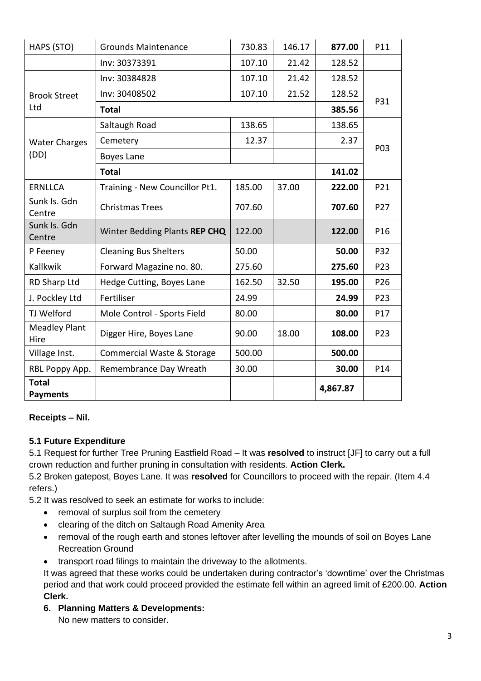| HAPS (STO)                      | <b>Grounds Maintenance</b>     | 730.83 | 146.17 | 877.00   | P11 |  |
|---------------------------------|--------------------------------|--------|--------|----------|-----|--|
|                                 | Inv: 30373391                  | 107.10 | 21.42  | 128.52   |     |  |
|                                 | Inv: 30384828                  | 107.10 | 21.42  | 128.52   |     |  |
| <b>Brook Street</b><br>Ltd      | Inv: 30408502                  | 107.10 | 21.52  | 128.52   |     |  |
|                                 | <b>Total</b>                   | 385.56 | P31    |          |     |  |
| <b>Water Charges</b><br>(DD)    | Saltaugh Road                  | 138.65 |        | 138.65   | P03 |  |
|                                 | Cemetery                       | 12.37  |        | 2.37     |     |  |
|                                 | Boyes Lane                     |        |        |          |     |  |
|                                 | <b>Total</b>                   |        |        | 141.02   |     |  |
| <b>ERNLLCA</b>                  | Training - New Councillor Pt1. | 185.00 | 37.00  | 222.00   | P21 |  |
| Sunk Is. Gdn<br>Centre          | <b>Christmas Trees</b>         | 707.60 |        | 707.60   | P27 |  |
| Sunk Is. Gdn<br>Centre          | Winter Bedding Plants REP CHQ  | 122.00 |        | 122.00   | P16 |  |
| P Feeney                        | <b>Cleaning Bus Shelters</b>   | 50.00  |        | 50.00    | P32 |  |
| Kallkwik                        | Forward Magazine no. 80.       | 275.60 |        | 275.60   | P23 |  |
| <b>RD Sharp Ltd</b>             | Hedge Cutting, Boyes Lane      | 162.50 | 32.50  | 195.00   | P26 |  |
| J. Pockley Ltd                  | Fertiliser                     | 24.99  |        | 24.99    | P23 |  |
| TJ Welford                      | Mole Control - Sports Field    | 80.00  |        | 80.00    | P17 |  |
| <b>Meadley Plant</b><br>Hire    | Digger Hire, Boyes Lane        | 90.00  | 18.00  | 108.00   | P23 |  |
| Village Inst.                   | Commercial Waste & Storage     | 500.00 |        | 500.00   |     |  |
| RBL Poppy App.                  | Remembrance Day Wreath         | 30.00  |        | 30.00    | P14 |  |
| <b>Total</b><br><b>Payments</b> |                                |        |        | 4,867.87 |     |  |

## **Receipts – Nil.**

### **5.1 Future Expenditure**

5.1 Request for further Tree Pruning Eastfield Road – It was **resolved** to instruct [JF] to carry out a full crown reduction and further pruning in consultation with residents. **Action Clerk.** 

5.2 Broken gatepost, Boyes Lane. It was **resolved** for Councillors to proceed with the repair. (Item 4.4 refers.)

5.2 It was resolved to seek an estimate for works to include:

- removal of surplus soil from the cemetery
- clearing of the ditch on Saltaugh Road Amenity Area
- removal of the rough earth and stones leftover after levelling the mounds of soil on Boyes Lane Recreation Ground
- transport road filings to maintain the driveway to the allotments.

It was agreed that these works could be undertaken during contractor's 'downtime' over the Christmas period and that work could proceed provided the estimate fell within an agreed limit of £200.00. **Action Clerk.** 

**6. Planning Matters & Developments:** 

No new matters to consider.